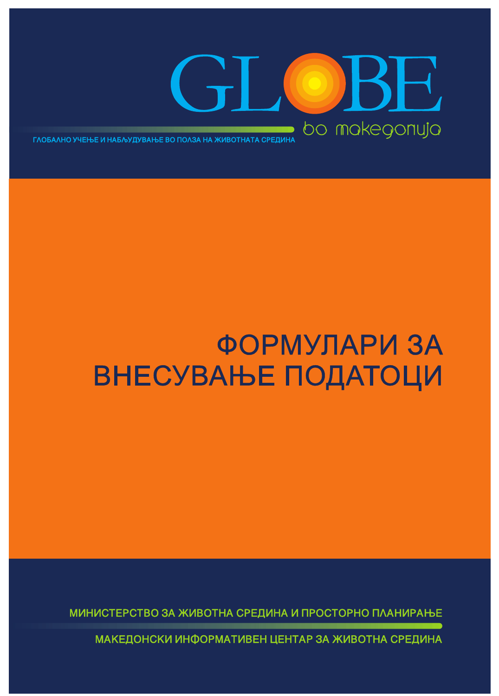

#### ФОРМУЛАРИ ЗА **ВНЕСУВАЊЕ ПОДАТОЦИ**

МИНИСТЕРСТВО ЗА ЖИВОТНА СРЕДИНА И ПРОСТОРНО ПЛАНИРАЊЕ

МАКЕДОНСКИ ИНФОРМАТИВЕН ЦЕНТАР ЗА ЖИВОТНА СРЕДИНА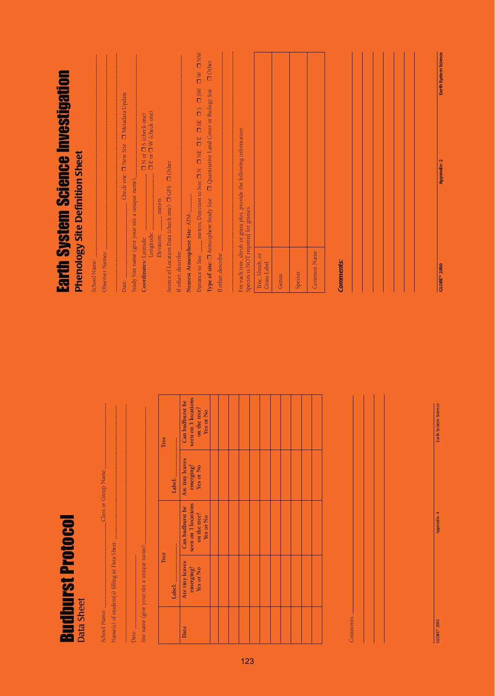| Earth System Science Investigation<br><b>Phenology Site Definition Sheet</b> |                                              | Study Site name (give your site a unique name): | $\begin{array}{l} \square \; \text{N} \; \text{or} \; \square \; \text{S} \; \text{(check one)} \\ \square \; \text{E} \; \text{or} \; \square \; \text{W} \; \text{(check one)} \end{array}$<br>Longitude: | Source of Location Data (check one): CIGPS Cher<br>meters<br>Elevation: | meters; Direction to Site: ON ONE OE OSE OS OSW OW ONW<br>$\Box$ Other<br>Quantitative Land Cover or Biology Site<br>Type of site: $\square$ Atmosphere Study Site<br>Nearest Atmosphere Site: ATM- | For each tree, shrub or grass plot, provide the following information.<br>Species is NOT required for grasses. |                                |       |         |             |           |  |  | Earth System Science<br>Appendix-2 |
|------------------------------------------------------------------------------|----------------------------------------------|-------------------------------------------------|-------------------------------------------------------------------------------------------------------------------------------------------------------------------------------------------------------------|-------------------------------------------------------------------------|-----------------------------------------------------------------------------------------------------------------------------------------------------------------------------------------------------|----------------------------------------------------------------------------------------------------------------|--------------------------------|-------|---------|-------------|-----------|--|--|------------------------------------|
|                                                                              | Observer Names:<br>School Name:              | Date:                                           | Coordinates: Latitude:                                                                                                                                                                                      |                                                                         | If other, describe:<br>If other, describe:<br>Distance to Site:                                                                                                                                     |                                                                                                                | Tree, Shrub, or<br>Grass Label | Genus | Species | Common Name | Comments: |  |  | <b>GLOBE<sup>N</sup> 2000</b>      |
|                                                                              |                                              |                                                 |                                                                                                                                                                                                             | Tree                                                                    | seen on 3 locations<br>Can budburst be<br>on the tree?<br>Yes or No                                                                                                                                 |                                                                                                                |                                |       |         |             |           |  |  | Earth System Science               |
|                                                                              | Class or Group Name:                         |                                                 |                                                                                                                                                                                                             | Label:                                                                  | Are tiny leaves<br>emerging?<br>Yes or No<br>seen on 3 locations<br>Can budburst be<br>on the tree?<br>Yes or No                                                                                    |                                                                                                                |                                |       |         |             |           |  |  | Appendix-4                         |
| <b>Budburst Protocol</b><br>Data Sheet                                       | Name(s) of student(s) filling in Data Sheet: |                                                 | Site name (give your site a unique name)                                                                                                                                                                    | Tree<br>Label:                                                          | Are tiny leaves<br>emerging?<br>Yes or No                                                                                                                                                           |                                                                                                                |                                |       |         |             |           |  |  |                                    |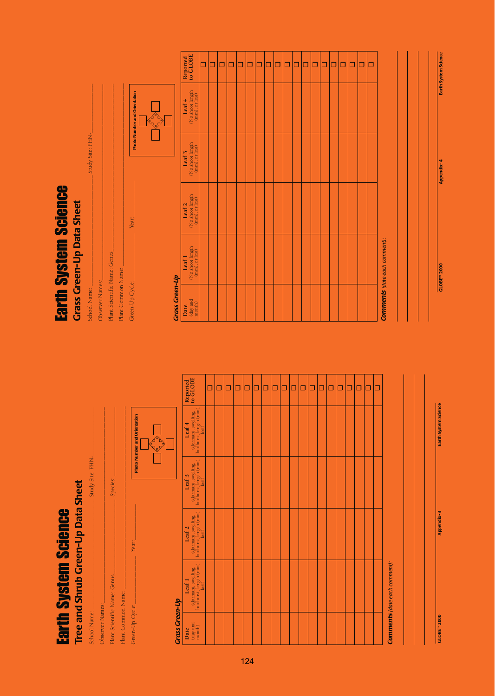| <u>تا</u><br>ļ |  |
|----------------|--|
|                |  |
|                |  |
|                |  |
|                |  |
|                |  |
|                |  |
|                |  |
|                |  |
|                |  |
|                |  |
|                |  |
|                |  |
|                |  |
| <u>SCR</u>     |  |
|                |  |
|                |  |
|                |  |
|                |  |
|                |  |
|                |  |
|                |  |
|                |  |
|                |  |
|                |  |
|                |  |
|                |  |
|                |  |
|                |  |
|                |  |
|                |  |
|                |  |
|                |  |
|                |  |
| <b>EBISICI</b> |  |
|                |  |
|                |  |
|                |  |
|                |  |
|                |  |
|                |  |
| ۵              |  |
| с              |  |
|                |  |
| ì<br>₹         |  |
|                |  |
|                |  |
|                |  |
|                |  |
|                |  |

## Tree and Shrub Green-Up Data Sheet **Tree and Shrub Green-Up Data Sheet**

| Study Site: PHN- |                 | Species:                      |                    | Photo Number and Orientation<br><b>A</b> |
|------------------|-----------------|-------------------------------|--------------------|------------------------------------------|
|                  |                 |                               |                    | Year:                                    |
| School Name:     | Observer Names: | Plant Scientific Name: Genus_ | Plant Common Name: | Green-Up Cycle:                          |

#### **Crass Green-Up** *Grass Green-Up*

| Reported<br>to GLOBE                                                                                                     | $\Box$ | □ | □ | ο | $\Box$ | □ | Ò | σ | σ | $\Box$ | □ | α | π | $\Box$ | $\Box$ | □ | α | □ |                                      |
|--------------------------------------------------------------------------------------------------------------------------|--------|---|---|---|--------|---|---|---|---|--------|---|---|---|--------|--------|---|---|---|--------------------------------------|
| $\begin{array}{c} \mbox{(downant, sweeping,\\ \\ \mbox{budburst, length (mm)},\\ \mbox{(ast)}\\ \end{array}$<br>Leaf $4$ |        |   |   |   |        |   |   |   |   |        |   |   |   |        |        |   |   |   |                                      |
| $\begin{array}{c} {\rm (downant,swelling,} \\ {\rm budburst, length\ (mm),} \\ {\rm lost)} \end{array}$<br>Leaf 3        |        |   |   |   |        |   |   |   |   |        |   |   |   |        |        |   |   |   |                                      |
|                                                                                                                          |        |   |   |   |        |   |   |   |   |        |   |   |   |        |        |   |   |   |                                      |
| $\begin{array}{c} {\rm (downant,swelling,} \\ {\rm budburst, length\ (mm),} \\ {\rm lost)} \end{array}$<br>Leaf 1        |        |   |   |   |        |   |   |   |   |        |   |   |   |        |        |   |   |   | <b>Comments</b> (date each comment): |
| $\frac{\text{day and}}{\text{month}}$<br>Date                                                                            |        |   |   |   |        |   |   |   |   |        |   |   |   |        |        |   |   |   |                                      |

### **Earth System Science**<br>Grass Green-Up Data Sheet Earth System Science **Grass Green-Up Data Sheet**

| Plant Common Name: |
|--------------------|
|--------------------|

÷.

Green-Up Cycle: $\qquad \qquad \qquad \qquad$  Year: $\qquad \qquad \qquad$ 

Green-Up Cycle:

**S**

|--|

#### **Crass Green-Up** *Grass Green-Up*

| Reported<br>to GLOBE                             | $\Box$ | Ō | σ | ά | $\Box$ | σ | Ō | α | σ | Ò | $\Box$ | п | Ò | $\Box$ | ά | ō | $\Box$ | ά | $\Box$ |                               |
|--------------------------------------------------|--------|---|---|---|--------|---|---|---|---|---|--------|---|---|--------|---|---|--------|---|--------|-------------------------------|
| Leaf 4<br>(No shoot length<br>(mm), or lost)     |        |   |   |   |        |   |   |   |   |   |        |   |   |        |   |   |        |   |        |                               |
| Leaf 3<br>(No shoot length<br>(mm), or lost)     |        |   |   |   |        |   |   |   |   |   |        |   |   |        |   |   |        |   |        |                               |
| Leaf 2<br>(No shoot length<br>(mm), or lost)     |        |   |   |   |        |   |   |   |   |   |        |   |   |        |   |   |        |   |        |                               |
| Leaf 1<br>(No shoot length<br>(mm), or lost)     |        |   |   |   |        |   |   |   |   |   |        |   |   |        |   |   |        |   |        | Comments (date each comment): |
| $\frac{\text{Date}}{(\text{day and}\text{mod})}$ |        |   |   |   |        |   |   |   |   |   |        |   |   |        |   |   |        |   |        |                               |

**GLOBE™ 2000 Appendix- 4 Earth System Science**

Appendix-4

**GLOBE<sup>N</sup> 2000** 

Earth System Science